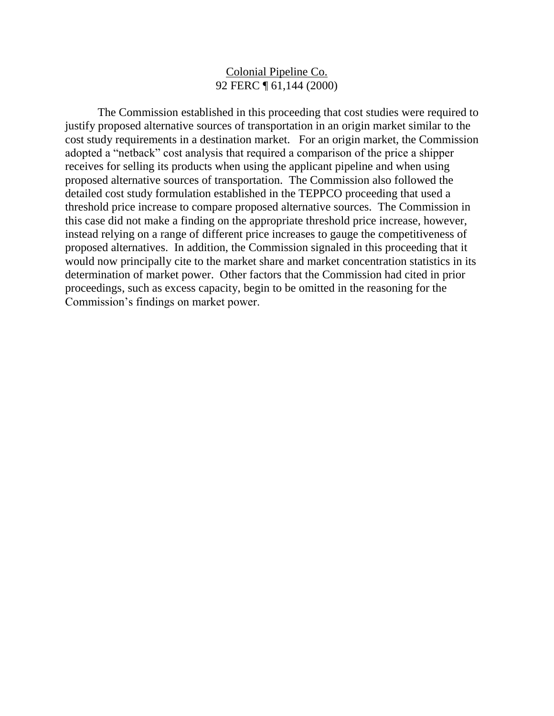## Colonial Pipeline Co. 92 FERC ¶ 61,144 (2000)

The Commission established in this proceeding that cost studies were required to justify proposed alternative sources of transportation in an origin market similar to the cost study requirements in a destination market. For an origin market, the Commission adopted a "netback" cost analysis that required a comparison of the price a shipper receives for selling its products when using the applicant pipeline and when using proposed alternative sources of transportation. The Commission also followed the detailed cost study formulation established in the TEPPCO proceeding that used a threshold price increase to compare proposed alternative sources. The Commission in this case did not make a finding on the appropriate threshold price increase, however, instead relying on a range of different price increases to gauge the competitiveness of proposed alternatives. In addition, the Commission signaled in this proceeding that it would now principally cite to the market share and market concentration statistics in its determination of market power. Other factors that the Commission had cited in prior proceedings, such as excess capacity, begin to be omitted in the reasoning for the Commission's findings on market power.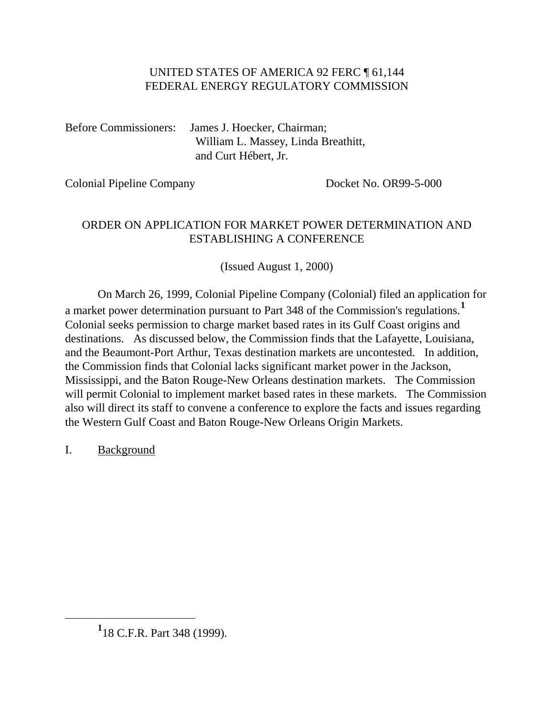# UNITED STATES OF AMERICA 92 FERC ¶ 61,144 FEDERAL ENERGY REGULATORY COMMISSION

Before Commissioners: James J. Hoecker, Chairman; William L. Massey, Linda Breathitt, and Curt Hébert, Jr.

Colonial Pipeline Company Docket No. OR99-5-000

# ORDER ON APPLICATION FOR MARKET POWER DETERMINATION AND ESTABLISHING A CONFERENCE

(Issued August 1, 2000)

On March 26, 1999, Colonial Pipeline Company (Colonial) filed an application for a market power determination pursuant to Part 348 of the Commission's regulations.**[1](#page-1-0)** Colonial seeks permission to charge market based rates in its Gulf Coast origins and destinations. As discussed below, the Commission finds that the Lafayette, Louisiana, and the Beaumont-Port Arthur, Texas destination markets are uncontested. In addition, the Commission finds that Colonial lacks significant market power in the Jackson, Mississippi, and the Baton Rouge-New Orleans destination markets. The Commission will permit Colonial to implement market based rates in these markets. The Commission also will direct its staff to convene a conference to explore the facts and issues regarding the Western Gulf Coast and Baton Rouge-New Orleans Origin Markets.

I. Background

<span id="page-1-0"></span>**<sup>1</sup>** 18 C.F.R. Part 348 (1999).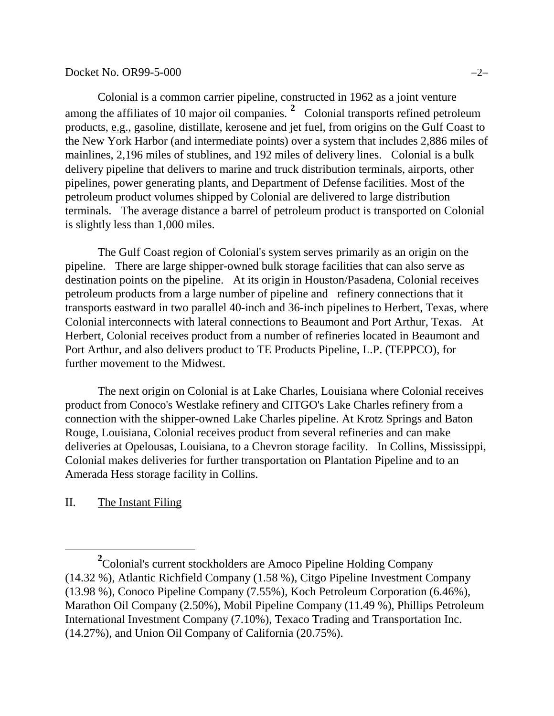#### Docket No. OR99-5-000 −2−

Colonial is a common carrier pipeline, constructed in 1962 as a joint venture among the affiliates of 10 major oil companies. **[2](#page-2-0)** Colonial transports refined petroleum products, e.g., gasoline, distillate, kerosene and jet fuel, from origins on the Gulf Coast to the New York Harbor (and intermediate points) over a system that includes 2,886 miles of mainlines, 2,196 miles of stublines, and 192 miles of delivery lines. Colonial is a bulk delivery pipeline that delivers to marine and truck distribution terminals, airports, other pipelines, power generating plants, and Department of Defense facilities. Most of the petroleum product volumes shipped by Colonial are delivered to large distribution terminals. The average distance a barrel of petroleum product is transported on Colonial is slightly less than 1,000 miles.

The Gulf Coast region of Colonial's system serves primarily as an origin on the pipeline. There are large shipper-owned bulk storage facilities that can also serve as destination points on the pipeline. At its origin in Houston/Pasadena, Colonial receives petroleum products from a large number of pipeline and refinery connections that it transports eastward in two parallel 40-inch and 36-inch pipelines to Herbert, Texas, where Colonial interconnects with lateral connections to Beaumont and Port Arthur, Texas. At Herbert, Colonial receives product from a number of refineries located in Beaumont and Port Arthur, and also delivers product to TE Products Pipeline, L.P. (TEPPCO), for further movement to the Midwest.

The next origin on Colonial is at Lake Charles, Louisiana where Colonial receives product from Conoco's Westlake refinery and CITGO's Lake Charles refinery from a connection with the shipper-owned Lake Charles pipeline. At Krotz Springs and Baton Rouge, Louisiana, Colonial receives product from several refineries and can make deliveries at Opelousas, Louisiana, to a Chevron storage facility. In Collins, Mississippi, Colonial makes deliveries for further transportation on Plantation Pipeline and to an Amerada Hess storage facility in Collins.

### II. The Instant Filing

<span id="page-2-0"></span>**<sup>2</sup>** Colonial's current stockholders are Amoco Pipeline Holding Company (14.32 %), Atlantic Richfield Company (1.58 %), Citgo Pipeline Investment Company (13.98 %), Conoco Pipeline Company (7.55%), Koch Petroleum Corporation (6.46%), Marathon Oil Company (2.50%), Mobil Pipeline Company (11.49 %), Phillips Petroleum International Investment Company (7.10%), Texaco Trading and Transportation Inc. (14.27%), and Union Oil Company of California (20.75%).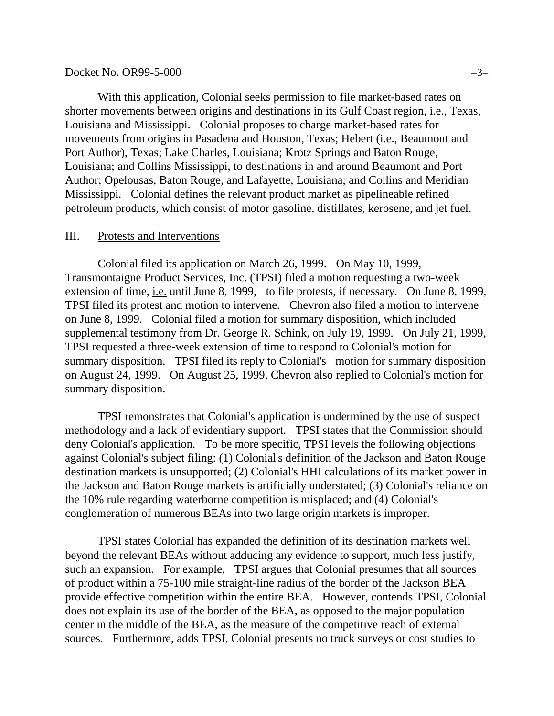#### $Docket No. OR99-5-000$   $-3-$

With this application, Colonial seeks permission to file market-based rates on shorter movements between origins and destinations in its Gulf Coast region, i.e., Texas, Louisiana and Mississippi. Colonial proposes to charge market-based rates for movements from origins in Pasadena and Houston, Texas; Hebert (i.e., Beaumont and Port Author), Texas; Lake Charles, Louisiana; Krotz Springs and Baton Rouge, Louisiana; and Collins Mississippi, to destinations in and around Beaumont and Port Author; Opelousas, Baton Rouge, and Lafayette, Louisiana; and Collins and Meridian Mississippi. Colonial defines the relevant product market as pipelineable refined petroleum products, which consist of motor gasoline, distillates, kerosene, and jet fuel.

#### III. Protests and Interventions

Colonial filed its application on March 26, 1999. On May 10, 1999, Transmontaigne Product Services, Inc. (TPSI) filed a motion requesting a two-week extension of time, i.e. until June 8, 1999, to file protests, if necessary. On June 8, 1999, TPSI filed its protest and motion to intervene. Chevron also filed a motion to intervene on June 8, 1999. Colonial filed a motion for summary disposition, which included supplemental testimony from Dr. George R. Schink, on July 19, 1999. On July 21, 1999, TPSI requested a three-week extension of time to respond to Colonial's motion for summary disposition. TPSI filed its reply to Colonial's motion for summary disposition on August 24, 1999. On August 25, 1999, Chevron also replied to Colonial's motion for summary disposition.

TPSI remonstrates that Colonial's application is undermined by the use of suspect methodology and a lack of evidentiary support. TPSI states that the Commission should deny Colonial's application. To be more specific, TPSI levels the following objections against Colonial's subject filing: (1) Colonial's definition of the Jackson and Baton Rouge destination markets is unsupported; (2) Colonial's HHI calculations of its market power in the Jackson and Baton Rouge markets is artificially understated; (3) Colonial's reliance on the 10% rule regarding waterborne competition is misplaced; and (4) Colonial's conglomeration of numerous BEAs into two large origin markets is improper.

TPSI states Colonial has expanded the definition of its destination markets well beyond the relevant BEAs without adducing any evidence to support, much less justify, such an expansion. For example, TPSI argues that Colonial presumes that all sources of product within a 75-100 mile straight-line radius of the border of the Jackson BEA provide effective competition within the entire BEA. However, contends TPSI, Colonial does not explain its use of the border of the BEA, as opposed to the major population center in the middle of the BEA, as the measure of the competitive reach of external sources. Furthermore, adds TPSI, Colonial presents no truck surveys or cost studies to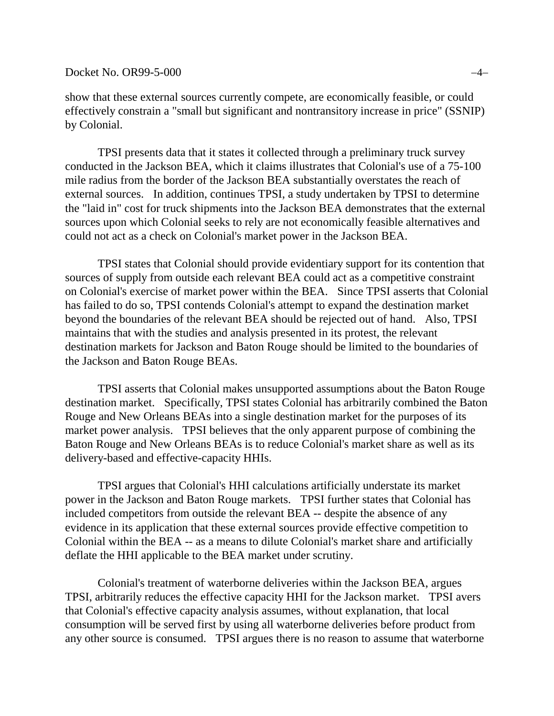Docket No. OR99-5-000 −4−

show that these external sources currently compete, are economically feasible, or could effectively constrain a "small but significant and nontransitory increase in price" (SSNIP) by Colonial.

TPSI presents data that it states it collected through a preliminary truck survey conducted in the Jackson BEA, which it claims illustrates that Colonial's use of a 75-100 mile radius from the border of the Jackson BEA substantially overstates the reach of external sources. In addition, continues TPSI, a study undertaken by TPSI to determine the "laid in" cost for truck shipments into the Jackson BEA demonstrates that the external sources upon which Colonial seeks to rely are not economically feasible alternatives and could not act as a check on Colonial's market power in the Jackson BEA.

TPSI states that Colonial should provide evidentiary support for its contention that sources of supply from outside each relevant BEA could act as a competitive constraint on Colonial's exercise of market power within the BEA. Since TPSI asserts that Colonial has failed to do so, TPSI contends Colonial's attempt to expand the destination market beyond the boundaries of the relevant BEA should be rejected out of hand. Also, TPSI maintains that with the studies and analysis presented in its protest, the relevant destination markets for Jackson and Baton Rouge should be limited to the boundaries of the Jackson and Baton Rouge BEAs.

TPSI asserts that Colonial makes unsupported assumptions about the Baton Rouge destination market. Specifically, TPSI states Colonial has arbitrarily combined the Baton Rouge and New Orleans BEAs into a single destination market for the purposes of its market power analysis. TPSI believes that the only apparent purpose of combining the Baton Rouge and New Orleans BEAs is to reduce Colonial's market share as well as its delivery-based and effective-capacity HHIs.

TPSI argues that Colonial's HHI calculations artificially understate its market power in the Jackson and Baton Rouge markets. TPSI further states that Colonial has included competitors from outside the relevant BEA -- despite the absence of any evidence in its application that these external sources provide effective competition to Colonial within the BEA -- as a means to dilute Colonial's market share and artificially deflate the HHI applicable to the BEA market under scrutiny.

Colonial's treatment of waterborne deliveries within the Jackson BEA, argues TPSI, arbitrarily reduces the effective capacity HHI for the Jackson market. TPSI avers that Colonial's effective capacity analysis assumes, without explanation, that local consumption will be served first by using all waterborne deliveries before product from any other source is consumed. TPSI argues there is no reason to assume that waterborne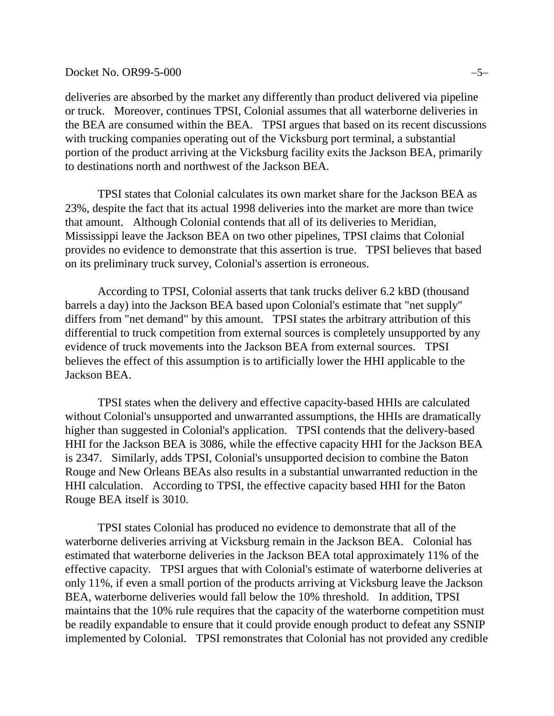#### $Docke$ t No. OR99-5-000  $-5-$

deliveries are absorbed by the market any differently than product delivered via pipeline or truck. Moreover, continues TPSI, Colonial assumes that all waterborne deliveries in the BEA are consumed within the BEA. TPSI argues that based on its recent discussions with trucking companies operating out of the Vicksburg port terminal, a substantial portion of the product arriving at the Vicksburg facility exits the Jackson BEA, primarily to destinations north and northwest of the Jackson BEA.

TPSI states that Colonial calculates its own market share for the Jackson BEA as 23%, despite the fact that its actual 1998 deliveries into the market are more than twice that amount. Although Colonial contends that all of its deliveries to Meridian, Mississippi leave the Jackson BEA on two other pipelines, TPSI claims that Colonial provides no evidence to demonstrate that this assertion is true. TPSI believes that based on its preliminary truck survey, Colonial's assertion is erroneous.

According to TPSI, Colonial asserts that tank trucks deliver 6.2 kBD (thousand barrels a day) into the Jackson BEA based upon Colonial's estimate that "net supply" differs from "net demand" by this amount. TPSI states the arbitrary attribution of this differential to truck competition from external sources is completely unsupported by any evidence of truck movements into the Jackson BEA from external sources. TPSI believes the effect of this assumption is to artificially lower the HHI applicable to the Jackson BEA.

TPSI states when the delivery and effective capacity-based HHIs are calculated without Colonial's unsupported and unwarranted assumptions, the HHIs are dramatically higher than suggested in Colonial's application. TPSI contends that the delivery-based HHI for the Jackson BEA is 3086, while the effective capacity HHI for the Jackson BEA is 2347. Similarly, adds TPSI, Colonial's unsupported decision to combine the Baton Rouge and New Orleans BEAs also results in a substantial unwarranted reduction in the HHI calculation. According to TPSI, the effective capacity based HHI for the Baton Rouge BEA itself is 3010.

TPSI states Colonial has produced no evidence to demonstrate that all of the waterborne deliveries arriving at Vicksburg remain in the Jackson BEA. Colonial has estimated that waterborne deliveries in the Jackson BEA total approximately 11% of the effective capacity. TPSI argues that with Colonial's estimate of waterborne deliveries at only 11%, if even a small portion of the products arriving at Vicksburg leave the Jackson BEA, waterborne deliveries would fall below the 10% threshold. In addition, TPSI maintains that the 10% rule requires that the capacity of the waterborne competition must be readily expandable to ensure that it could provide enough product to defeat any SSNIP implemented by Colonial. TPSI remonstrates that Colonial has not provided any credible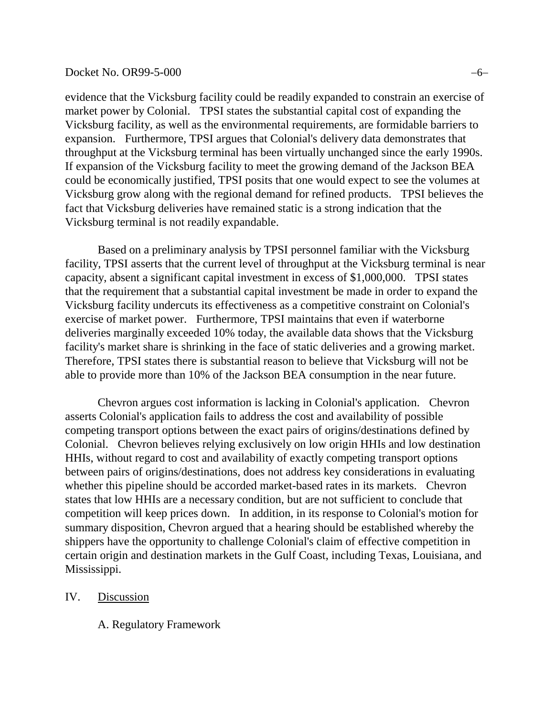#### Docket No. OR99-5-000 −6−

evidence that the Vicksburg facility could be readily expanded to constrain an exercise of market power by Colonial. TPSI states the substantial capital cost of expanding the Vicksburg facility, as well as the environmental requirements, are formidable barriers to expansion. Furthermore, TPSI argues that Colonial's delivery data demonstrates that throughput at the Vicksburg terminal has been virtually unchanged since the early 1990s. If expansion of the Vicksburg facility to meet the growing demand of the Jackson BEA could be economically justified, TPSI posits that one would expect to see the volumes at Vicksburg grow along with the regional demand for refined products. TPSI believes the fact that Vicksburg deliveries have remained static is a strong indication that the Vicksburg terminal is not readily expandable.

Based on a preliminary analysis by TPSI personnel familiar with the Vicksburg facility, TPSI asserts that the current level of throughput at the Vicksburg terminal is near capacity, absent a significant capital investment in excess of \$1,000,000. TPSI states that the requirement that a substantial capital investment be made in order to expand the Vicksburg facility undercuts its effectiveness as a competitive constraint on Colonial's exercise of market power. Furthermore, TPSI maintains that even if waterborne deliveries marginally exceeded 10% today, the available data shows that the Vicksburg facility's market share is shrinking in the face of static deliveries and a growing market. Therefore, TPSI states there is substantial reason to believe that Vicksburg will not be able to provide more than 10% of the Jackson BEA consumption in the near future.

Chevron argues cost information is lacking in Colonial's application. Chevron asserts Colonial's application fails to address the cost and availability of possible competing transport options between the exact pairs of origins/destinations defined by Colonial. Chevron believes relying exclusively on low origin HHIs and low destination HHIs, without regard to cost and availability of exactly competing transport options between pairs of origins/destinations, does not address key considerations in evaluating whether this pipeline should be accorded market-based rates in its markets. Chevron states that low HHIs are a necessary condition, but are not sufficient to conclude that competition will keep prices down. In addition, in its response to Colonial's motion for summary disposition, Chevron argued that a hearing should be established whereby the shippers have the opportunity to challenge Colonial's claim of effective competition in certain origin and destination markets in the Gulf Coast, including Texas, Louisiana, and Mississippi.

## IV. Discussion

#### A. Regulatory Framework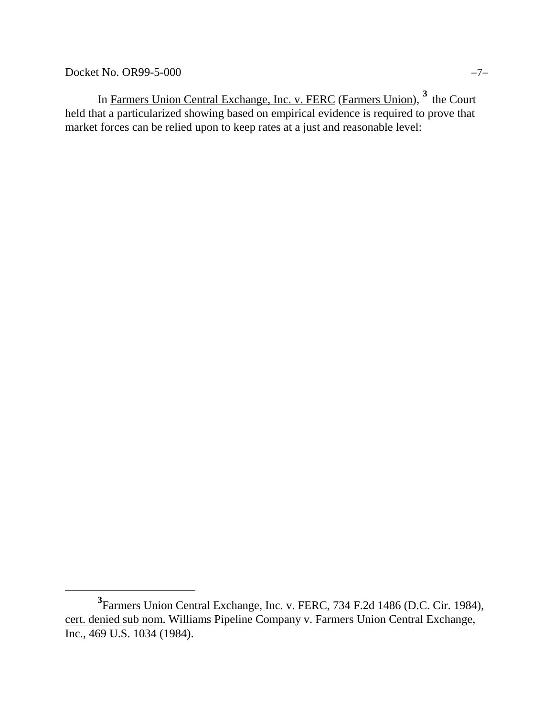Docket No. OR99-5-000 −7−

 $\overline{a}$ 

In Farmers Union Central Exchange, Inc. v. FERC (Farmers Union), **[3](#page-7-0)** the Court held that a particularized showing based on empirical evidence is required to prove that market forces can be relied upon to keep rates at a just and reasonable level:

<span id="page-7-0"></span><sup>&</sup>lt;sup>3</sup> Farmers Union Central Exchange, Inc. v. FERC, 734 F.2d 1486 (D.C. Cir. 1984), cert. denied sub nom. Williams Pipeline Company v. Farmers Union Central Exchange, Inc., 469 U.S. 1034 (1984).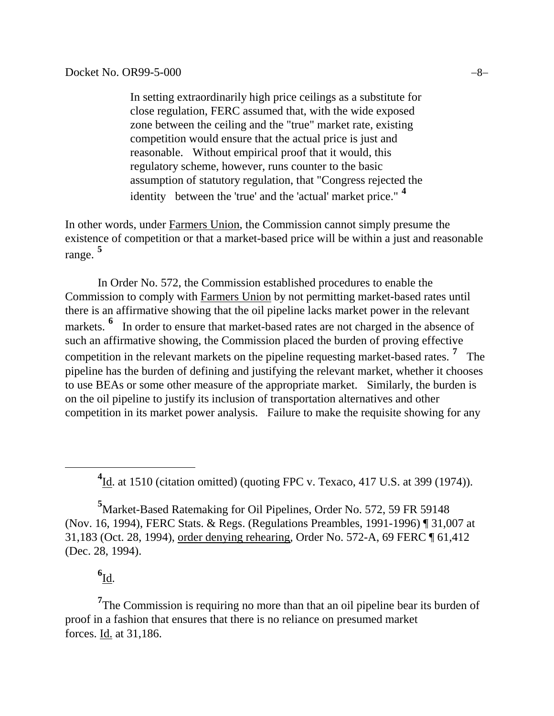In setting extraordinarily high price ceilings as a substitute for close regulation, FERC assumed that, with the wide exposed zone between the ceiling and the "true" market rate, existing competition would ensure that the actual price is just and reasonable. Without empirical proof that it would, this regulatory scheme, however, runs counter to the basic assumption of statutory regulation, that "Congress rejected the identity between the 'true' and the 'actual' market price." **[4](#page-8-0)**

In other words, under Farmers Union, the Commission cannot simply presume the existence of competition or that a market-based price will be within a just and reasonable range. **[5](#page-8-1)**

In Order No. 572, the Commission established procedures to enable the Commission to comply with Farmers Union by not permitting market-based rates until there is an affirmative showing that the oil pipeline lacks market power in the relevant markets. <sup>[6](#page-8-2)</sup> In order to ensure that market-based rates are not charged in the absence of such an affirmative showing, the Commission placed the burden of proving effective competition in the relevant markets on the pipeline requesting market-based rates. **[7](#page-8-3)** The pipeline has the burden of defining and justifying the relevant market, whether it chooses to use BEAs or some other measure of the appropriate market. Similarly, the burden is on the oil pipeline to justify its inclusion of transportation alternatives and other competition in its market power analysis. Failure to make the requisite showing for any

<sup>4</sup><u>Id</u>. at 1510 (citation omitted) (quoting FPC v. Texaco, 417 U.S. at 399 (1974)).

<span id="page-8-1"></span>**5** Market-Based Ratemaking for Oil Pipelines, Order No. 572, 59 FR 59148 (Nov. 16, 1994), FERC Stats. & Regs. (Regulations Preambles, 1991-1996) ¶ 31,007 at 31,183 (Oct. 28, 1994), order denying rehearing*,* Order No. 572-A, 69 FERC ¶ 61,412 (Dec. 28, 1994).

# **6** Id.

<span id="page-8-0"></span> $\overline{a}$ 

<span id="page-8-3"></span><span id="page-8-2"></span><sup>7</sup>The Commission is requiring no more than that an oil pipeline bear its burden of proof in a fashion that ensures that there is no reliance on presumed market forces. Id. at 31,186.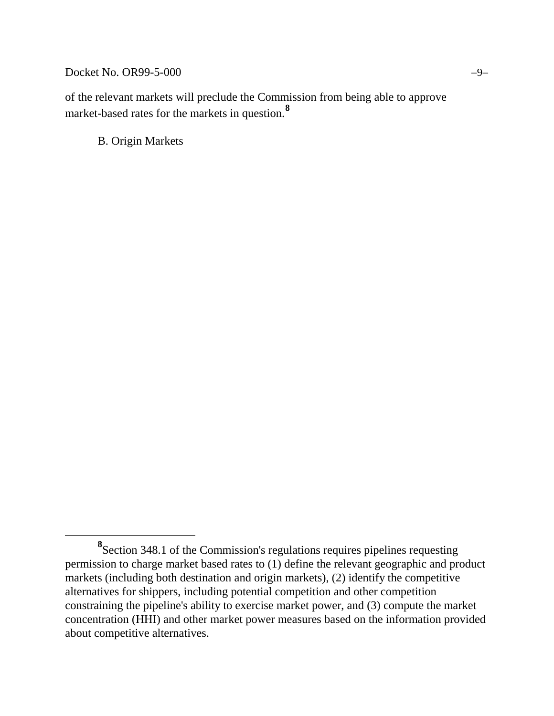### $Dacket No. OR99-5-000$   $-9-$

 $\overline{a}$ 

of the relevant markets will preclude the Commission from being able to approve market-based rates for the markets in question.**[8](#page-9-0)**

B. Origin Markets

<span id="page-9-0"></span>**<sup>8</sup>** Section 348.1 of the Commission's regulations requires pipelines requesting permission to charge market based rates to (1) define the relevant geographic and product markets (including both destination and origin markets), (2) identify the competitive alternatives for shippers, including potential competition and other competition constraining the pipeline's ability to exercise market power, and (3) compute the market concentration (HHI) and other market power measures based on the information provided about competitive alternatives.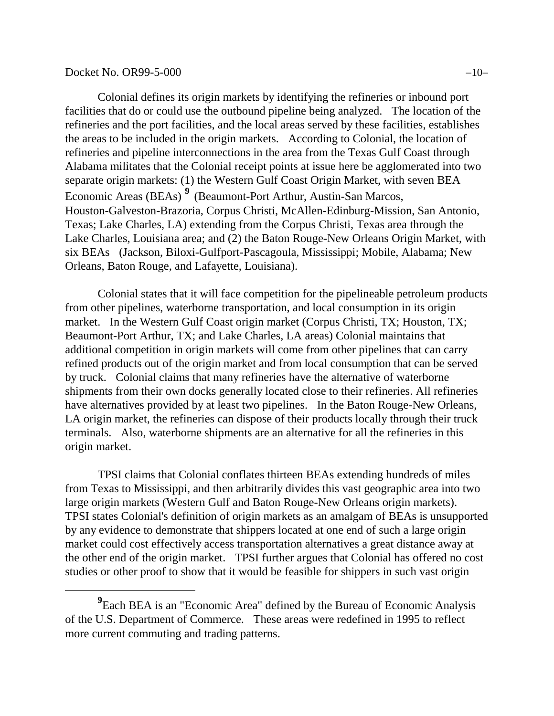#### $Dacket No. OR99-5-000$  −10−

 $\overline{a}$ 

Colonial defines its origin markets by identifying the refineries or inbound port facilities that do or could use the outbound pipeline being analyzed. The location of the refineries and the port facilities, and the local areas served by these facilities, establishes the areas to be included in the origin markets. According to Colonial, the location of refineries and pipeline interconnections in the area from the Texas Gulf Coast through Alabama militates that the Colonial receipt points at issue here be agglomerated into two separate origin markets: (1) the Western Gulf Coast Origin Market, with seven BEA Economic Areas (BEAs) **[9](#page-10-0)** (Beaumont-Port Arthur, Austin-San Marcos, Houston-Galveston-Brazoria, Corpus Christi, McAllen-Edinburg-Mission, San Antonio, Texas; Lake Charles, LA) extending from the Corpus Christi, Texas area through the Lake Charles, Louisiana area; and (2) the Baton Rouge-New Orleans Origin Market, with six BEAs (Jackson, Biloxi-Gulfport-Pascagoula, Mississippi; Mobile, Alabama; New Orleans, Baton Rouge, and Lafayette, Louisiana).

Colonial states that it will face competition for the pipelineable petroleum products from other pipelines, waterborne transportation, and local consumption in its origin market. In the Western Gulf Coast origin market (Corpus Christi, TX; Houston, TX; Beaumont-Port Arthur, TX; and Lake Charles, LA areas) Colonial maintains that additional competition in origin markets will come from other pipelines that can carry refined products out of the origin market and from local consumption that can be served by truck. Colonial claims that many refineries have the alternative of waterborne shipments from their own docks generally located close to their refineries. All refineries have alternatives provided by at least two pipelines. In the Baton Rouge-New Orleans, LA origin market, the refineries can dispose of their products locally through their truck terminals. Also, waterborne shipments are an alternative for all the refineries in this origin market.

TPSI claims that Colonial conflates thirteen BEAs extending hundreds of miles from Texas to Mississippi, and then arbitrarily divides this vast geographic area into two large origin markets (Western Gulf and Baton Rouge-New Orleans origin markets). TPSI states Colonial's definition of origin markets as an amalgam of BEAs is unsupported by any evidence to demonstrate that shippers located at one end of such a large origin market could cost effectively access transportation alternatives a great distance away at the other end of the origin market. TPSI further argues that Colonial has offered no cost studies or other proof to show that it would be feasible for shippers in such vast origin

<span id="page-10-0"></span><sup>&</sup>lt;sup>9</sup> Each BEA is an "Economic Area" defined by the Bureau of Economic Analysis of the U.S. Department of Commerce. These areas were redefined in 1995 to reflect more current commuting and trading patterns.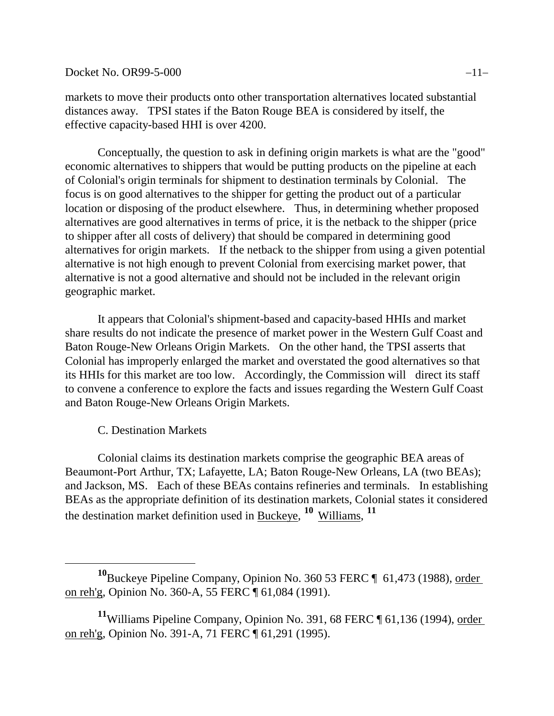markets to move their products onto other transportation alternatives located substantial distances away. TPSI states if the Baton Rouge BEA is considered by itself, the effective capacity-based HHI is over 4200.

Conceptually, the question to ask in defining origin markets is what are the "good" economic alternatives to shippers that would be putting products on the pipeline at each of Colonial's origin terminals for shipment to destination terminals by Colonial. The focus is on good alternatives to the shipper for getting the product out of a particular location or disposing of the product elsewhere. Thus, in determining whether proposed alternatives are good alternatives in terms of price, it is the netback to the shipper (price to shipper after all costs of delivery) that should be compared in determining good alternatives for origin markets. If the netback to the shipper from using a given potential alternative is not high enough to prevent Colonial from exercising market power, that alternative is not a good alternative and should not be included in the relevant origin geographic market.

It appears that Colonial's shipment-based and capacity-based HHIs and market share results do not indicate the presence of market power in the Western Gulf Coast and Baton Rouge-New Orleans Origin Markets. On the other hand, the TPSI asserts that Colonial has improperly enlarged the market and overstated the good alternatives so that its HHIs for this market are too low. Accordingly, the Commission will direct its staff to convene a conference to explore the facts and issues regarding the Western Gulf Coast and Baton Rouge-New Orleans Origin Markets.

C. Destination Markets

 $\overline{a}$ 

Colonial claims its destination markets comprise the geographic BEA areas of Beaumont-Port Arthur, TX; Lafayette, LA; Baton Rouge-New Orleans, LA (two BEAs); and Jackson, MS. Each of these BEAs contains refineries and terminals. In establishing BEAs as the appropriate definition of its destination markets, Colonial states it considered the destination market definition used in Buckeye, **[10](#page-11-0)** Williams, **[11](#page-11-1)**

<span id="page-11-1"></span>**<sup>11</sup>**Williams Pipeline Company, Opinion No. 391, 68 FERC ¶ 61,136 (1994), order on reh'g, Opinion No. 391-A, 71 FERC ¶ 61,291 (1995).

<span id="page-11-0"></span>**<sup>10</sup>**Buckeye Pipeline Company, Opinion No. 360 53 FERC ¶ 61,473 (1988), order on reh'g, Opinion No. 360-A, 55 FERC ¶ 61,084 (1991).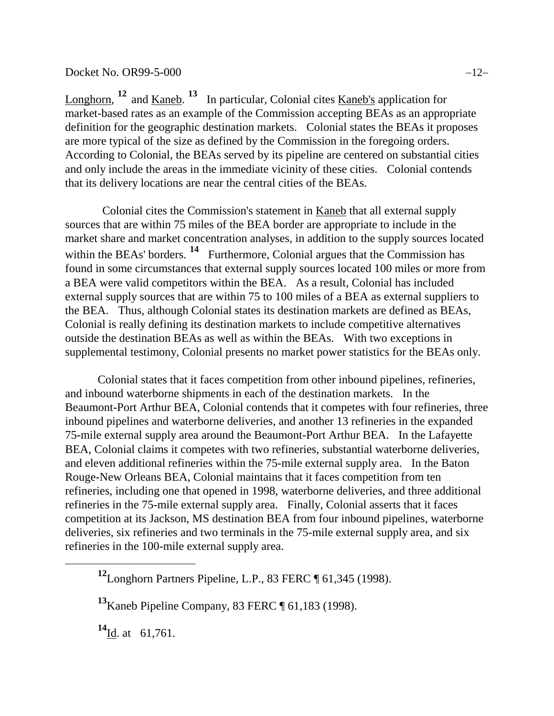Longhorn, **[12](#page-12-0)** and Kaneb. **[13](#page-12-1)** In particular, Colonial cites Kaneb's application for market-based rates as an example of the Commission accepting BEAs as an appropriate definition for the geographic destination markets. Colonial states the BEAs it proposes are more typical of the size as defined by the Commission in the foregoing orders. According to Colonial, the BEAs served by its pipeline are centered on substantial cities and only include the areas in the immediate vicinity of these cities. Colonial contends that its delivery locations are near the central cities of the BEAs.

Colonial cites the Commission's statement in Kaneb that all external supply sources that are within 75 miles of the BEA border are appropriate to include in the market share and market concentration analyses, in addition to the supply sources located within the BEAs' borders.<sup>[14](#page-12-2)</sup> Furthermore, Colonial argues that the Commission has found in some circumstances that external supply sources located 100 miles or more from a BEA were valid competitors within the BEA. As a result, Colonial has included external supply sources that are within 75 to 100 miles of a BEA as external suppliers to the BEA. Thus, although Colonial states its destination markets are defined as BEAs, Colonial is really defining its destination markets to include competitive alternatives outside the destination BEAs as well as within the BEAs. With two exceptions in supplemental testimony, Colonial presents no market power statistics for the BEAs only.

Colonial states that it faces competition from other inbound pipelines, refineries, and inbound waterborne shipments in each of the destination markets. In the Beaumont-Port Arthur BEA, Colonial contends that it competes with four refineries, three inbound pipelines and waterborne deliveries, and another 13 refineries in the expanded 75-mile external supply area around the Beaumont-Port Arthur BEA. In the Lafayette BEA, Colonial claims it competes with two refineries, substantial waterborne deliveries, and eleven additional refineries within the 75-mile external supply area. In the Baton Rouge-New Orleans BEA, Colonial maintains that it faces competition from ten refineries, including one that opened in 1998, waterborne deliveries, and three additional refineries in the 75-mile external supply area. Finally, Colonial asserts that it faces competition at its Jackson, MS destination BEA from four inbound pipelines, waterborne deliveries, six refineries and two terminals in the 75-mile external supply area, and six refineries in the 100-mile external supply area.

<span id="page-12-2"></span>**<sup>14</sup>**Id. at 61,761.

<span id="page-12-0"></span>**<sup>12</sup>**Longhorn Partners Pipeline, L.P., 83 FERC ¶ 61,345 (1998).

<span id="page-12-1"></span>**<sup>13</sup>**Kaneb Pipeline Company, 83 FERC ¶ 61,183 (1998).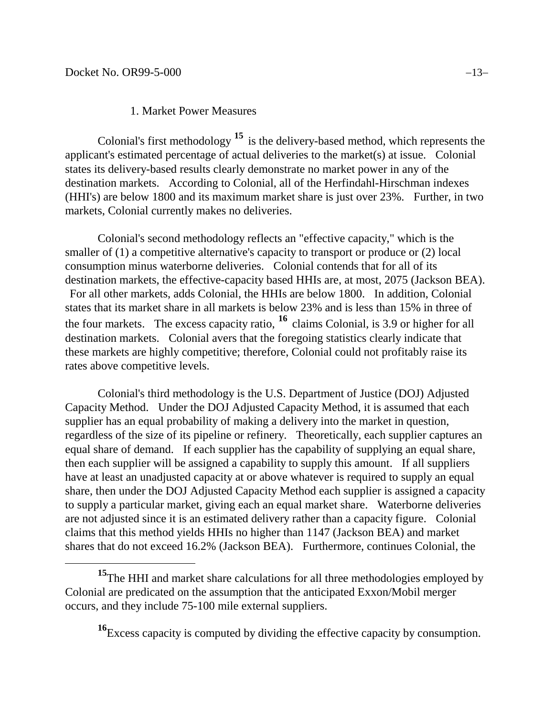$\overline{a}$ 

## 1. Market Power Measures

Colonial's first methodology **[15](#page-13-0)** is the delivery-based method, which represents the applicant's estimated percentage of actual deliveries to the market(s) at issue. Colonial states its delivery-based results clearly demonstrate no market power in any of the destination markets. According to Colonial, all of the Herfindahl-Hirschman indexes (HHI's) are below 1800 and its maximum market share is just over 23%. Further, in two markets, Colonial currently makes no deliveries.

Colonial's second methodology reflects an "effective capacity," which is the smaller of (1) a competitive alternative's capacity to transport or produce or (2) local consumption minus waterborne deliveries. Colonial contends that for all of its destination markets, the effective-capacity based HHIs are, at most, 2075 (Jackson BEA). For all other markets, adds Colonial, the HHIs are below 1800. In addition, Colonial states that its market share in all markets is below 23% and is less than 15% in three of the four markets. The excess capacity ratio, **[16](#page-13-1)** claims Colonial, is 3.9 or higher for all destination markets. Colonial avers that the foregoing statistics clearly indicate that these markets are highly competitive; therefore, Colonial could not profitably raise its rates above competitive levels.

Colonial's third methodology is the U.S. Department of Justice (DOJ) Adjusted Capacity Method. Under the DOJ Adjusted Capacity Method, it is assumed that each supplier has an equal probability of making a delivery into the market in question, regardless of the size of its pipeline or refinery. Theoretically, each supplier captures an equal share of demand. If each supplier has the capability of supplying an equal share, then each supplier will be assigned a capability to supply this amount. If all suppliers have at least an unadjusted capacity at or above whatever is required to supply an equal share, then under the DOJ Adjusted Capacity Method each supplier is assigned a capacity to supply a particular market, giving each an equal market share. Waterborne deliveries are not adjusted since it is an estimated delivery rather than a capacity figure. Colonial claims that this method yields HHIs no higher than 1147 (Jackson BEA) and market shares that do not exceed 16.2% (Jackson BEA). Furthermore, continues Colonial, the

<span id="page-13-1"></span><span id="page-13-0"></span><sup>&</sup>lt;sup>15</sup>The HHI and market share calculations for all three methodologies employed by Colonial are predicated on the assumption that the anticipated Exxon/Mobil merger occurs, and they include 75-100 mile external suppliers.

**<sup>16</sup>**Excess capacity is computed by dividing the effective capacity by consumption.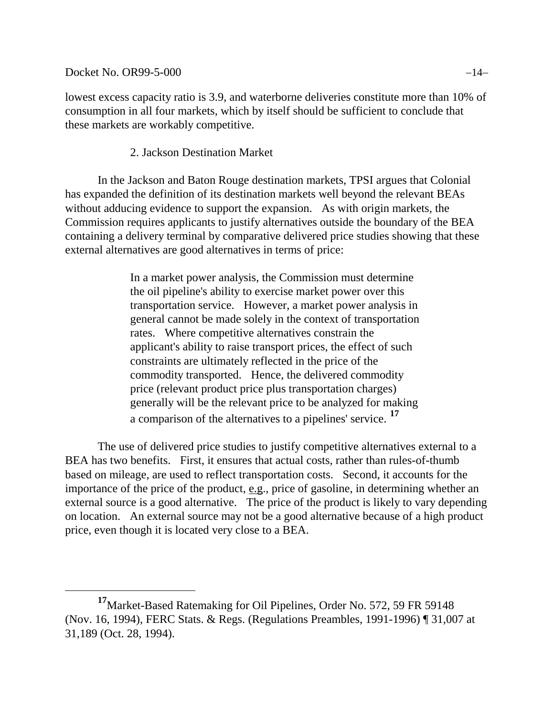## Docket No. OR99-5-000 −14−

 $\overline{a}$ 

lowest excess capacity ratio is 3.9, and waterborne deliveries constitute more than 10% of consumption in all four markets, which by itself should be sufficient to conclude that these markets are workably competitive.

# 2. Jackson Destination Market

In the Jackson and Baton Rouge destination markets, TPSI argues that Colonial has expanded the definition of its destination markets well beyond the relevant BEAs without adducing evidence to support the expansion. As with origin markets, the Commission requires applicants to justify alternatives outside the boundary of the BEA containing a delivery terminal by comparative delivered price studies showing that these external alternatives are good alternatives in terms of price:

> In a market power analysis, the Commission must determine the oil pipeline's ability to exercise market power over this transportation service. However, a market power analysis in general cannot be made solely in the context of transportation rates. Where competitive alternatives constrain the applicant's ability to raise transport prices, the effect of such constraints are ultimately reflected in the price of the commodity transported. Hence, the delivered commodity price (relevant product price plus transportation charges) generally will be the relevant price to be analyzed for making a comparison of the alternatives to a pipelines' service. **[17](#page-14-0)**

The use of delivered price studies to justify competitive alternatives external to a BEA has two benefits. First, it ensures that actual costs, rather than rules-of-thumb based on mileage, are used to reflect transportation costs. Second, it accounts for the importance of the price of the product, e.g., price of gasoline, in determining whether an external source is a good alternative. The price of the product is likely to vary depending on location. An external source may not be a good alternative because of a high product price, even though it is located very close to a BEA.

<span id="page-14-0"></span>**<sup>17</sup>**Market-Based Ratemaking for Oil Pipelines, Order No. 572, 59 FR 59148 (Nov. 16, 1994), FERC Stats. & Regs. (Regulations Preambles, 1991-1996) ¶ 31,007 at 31,189 (Oct. 28, 1994).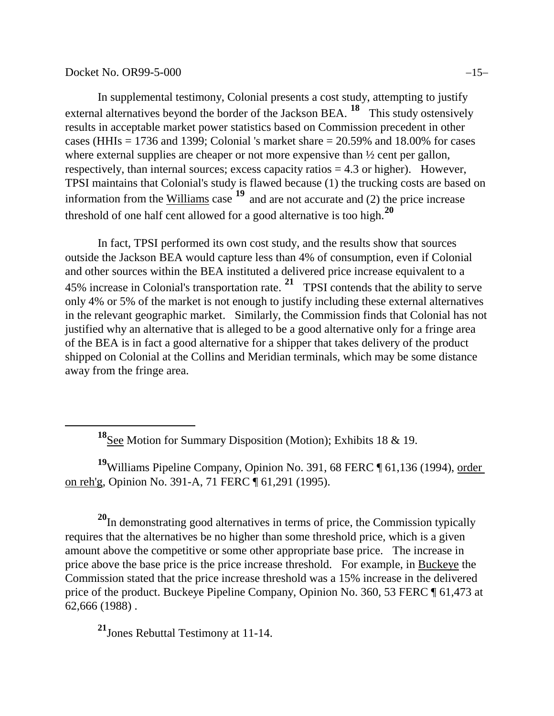#### Docket No. OR99-5-000 −15−

<span id="page-15-0"></span> $\overline{a}$ 

In supplemental testimony, Colonial presents a cost study, attempting to justify external alternatives beyond the border of the Jackson BEA. <sup>[18](#page-15-0)</sup> This study ostensively results in acceptable market power statistics based on Commission precedent in other cases (HHIs  $= 1736$  and 1399; Colonial 's market share  $= 20.59\%$  and 18.00% for cases where external supplies are cheaper or not more expensive than  $\frac{1}{2}$  cent per gallon, respectively, than internal sources; excess capacity ratios  $= 4.3$  or higher). However, TPSI maintains that Colonial's study is flawed because (1) the trucking costs are based on information from the Williams case <sup>[19](#page-15-1)</sup> and are not accurate and (2) the price increase threshold of one half cent allowed for a good alternative is too high.**[20](#page-15-2)**

In fact, TPSI performed its own cost study, and the results show that sources outside the Jackson BEA would capture less than 4% of consumption, even if Colonial and other sources within the BEA instituted a delivered price increase equivalent to a 45% increase in Colonial's transportation rate. **[21](#page-15-3)** TPSI contends that the ability to serve only 4% or 5% of the market is not enough to justify including these external alternatives in the relevant geographic market. Similarly, the Commission finds that Colonial has not justified why an alternative that is alleged to be a good alternative only for a fringe area of the BEA is in fact a good alternative for a shipper that takes delivery of the product shipped on Colonial at the Collins and Meridian terminals, which may be some distance away from the fringe area.

<span id="page-15-1"></span>**<sup>19</sup>**Williams Pipeline Company, Opinion No. 391, 68 FERC ¶ 61,136 (1994), order on reh'g, Opinion No. 391-A, 71 FERC ¶ 61,291 (1995).

<span id="page-15-2"></span>**<sup>20</sup>**In demonstrating good alternatives in terms of price, the Commission typically requires that the alternatives be no higher than some threshold price, which is a given amount above the competitive or some other appropriate base price. The increase in price above the base price is the price increase threshold. For example, in Buckeye the Commission stated that the price increase threshold was a 15% increase in the delivered price of the product. Buckeye Pipeline Company, Opinion No. 360, 53 FERC ¶ 61,473 at 62,666 (1988) .

<span id="page-15-3"></span>**<sup>21</sup>**Jones Rebuttal Testimony at 11-14.

**<sup>18</sup>**See Motion for Summary Disposition (Motion); Exhibits 18 & 19.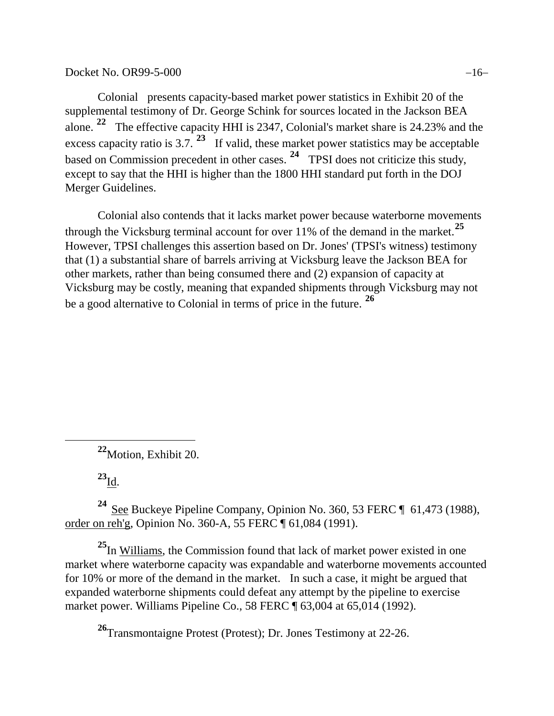Docket No. OR99-5-000 −16−

Colonial presents capacity-based market power statistics in Exhibit 20 of the supplemental testimony of Dr. George Schink for sources located in the Jackson BEA alone. **[22](#page-16-0)** The effective capacity HHI is 2347, Colonial's market share is 24.23% and the excess capacity ratio is  $3.7 \cdot$  <sup>[23](#page-16-1)</sup> If valid, these market power statistics may be acceptable based on Commission precedent in other cases. **[24](#page-16-2)** TPSI does not criticize this study, except to say that the HHI is higher than the 1800 HHI standard put forth in the DOJ Merger Guidelines.

Colonial also contends that it lacks market power because waterborne movements through the Vicksburg terminal account for over 11% of the demand in the market.**[25](#page-16-3)** However, TPSI challenges this assertion based on Dr. Jones' (TPSI's witness) testimony that (1) a substantial share of barrels arriving at Vicksburg leave the Jackson BEA for other markets, rather than being consumed there and (2) expansion of capacity at Vicksburg may be costly, meaning that expanded shipments through Vicksburg may not be a good alternative to Colonial in terms of price in the future. **[26](#page-16-4)**

**<sup>22</sup>**Motion, Exhibit 20.

**<sup>23</sup>**Id.

<span id="page-16-0"></span> $\overline{a}$ 

<span id="page-16-2"></span><span id="page-16-1"></span>**<sup>24</sup>** See Buckeye Pipeline Company, Opinion No. 360, 53 FERC ¶ 61,473 (1988), order on reh'g, Opinion No. 360-A, 55 FERC ¶ 61,084 (1991).

<span id="page-16-3"></span>**<sup>25</sup>**In Williams, the Commission found that lack of market power existed in one market where waterborne capacity was expandable and waterborne movements accounted for 10% or more of the demand in the market. In such a case, it might be argued that expanded waterborne shipments could defeat any attempt by the pipeline to exercise market power. Williams Pipeline Co., 58 FERC ¶ 63,004 at 65,014 (1992).

<span id="page-16-4"></span>**<sup>26</sup>**Transmontaigne Protest (Protest); Dr. Jones Testimony at 22-26.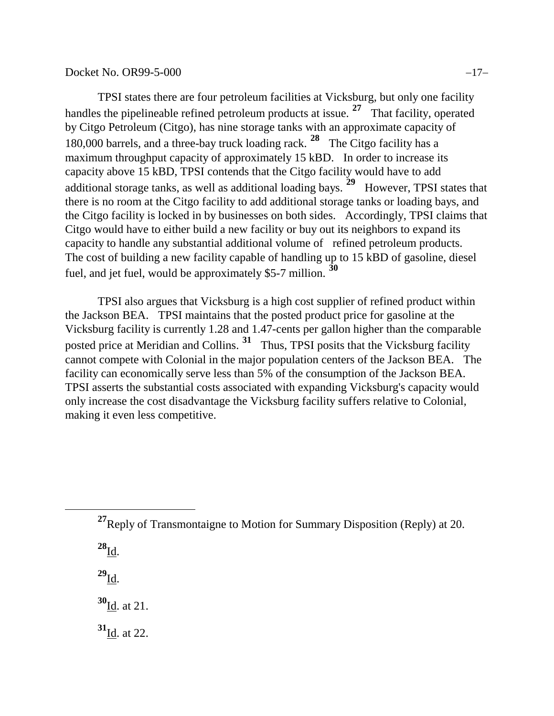TPSI states there are four petroleum facilities at Vicksburg, but only one facility handles the pipelineable refined petroleum products at issue.<sup>[27](#page-17-0)</sup> That facility, operated by Citgo Petroleum (Citgo), has nine storage tanks with an approximate capacity of 180,000 barrels, and a three-bay truck loading rack. **[28](#page-17-1)** The Citgo facility has a maximum throughput capacity of approximately 15 kBD. In order to increase its capacity above 15 kBD, TPSI contends that the Citgo facility would have to add additional storage tanks, as well as additional loading bays. **[29](#page-17-2)** However, TPSI states that there is no room at the Citgo facility to add additional storage tanks or loading bays, and the Citgo facility is locked in by businesses on both sides. Accordingly, TPSI claims that Citgo would have to either build a new facility or buy out its neighbors to expand its capacity to handle any substantial additional volume of refined petroleum products. The cost of building a new facility capable of handling up to 15 kBD of gasoline, diesel fuel, and jet fuel, would be approximately \$5-7 million. **[30](#page-17-3)**

TPSI also argues that Vicksburg is a high cost supplier of refined product within the Jackson BEA. TPSI maintains that the posted product price for gasoline at the Vicksburg facility is currently 1.28 and 1.47-cents per gallon higher than the comparable posted price at Meridian and Collins.<sup>[31](#page-17-4)</sup> Thus, TPSI posits that the Vicksburg facility cannot compete with Colonial in the major population centers of the Jackson BEA. The facility can economically serve less than 5% of the consumption of the Jackson BEA. TPSI asserts the substantial costs associated with expanding Vicksburg's capacity would only increase the cost disadvantage the Vicksburg facility suffers relative to Colonial, making it even less competitive.

<span id="page-17-4"></span><span id="page-17-3"></span><span id="page-17-2"></span><span id="page-17-1"></span>**<sup>28</sup>**Id.  $29$ <sub>Id.</sub> **<sup>30</sup>**Id. at 21. **<sup>31</sup>**Id. at 22.

<span id="page-17-0"></span>**<sup>27</sup>**Reply of Transmontaigne to Motion for Summary Disposition (Reply) at 20.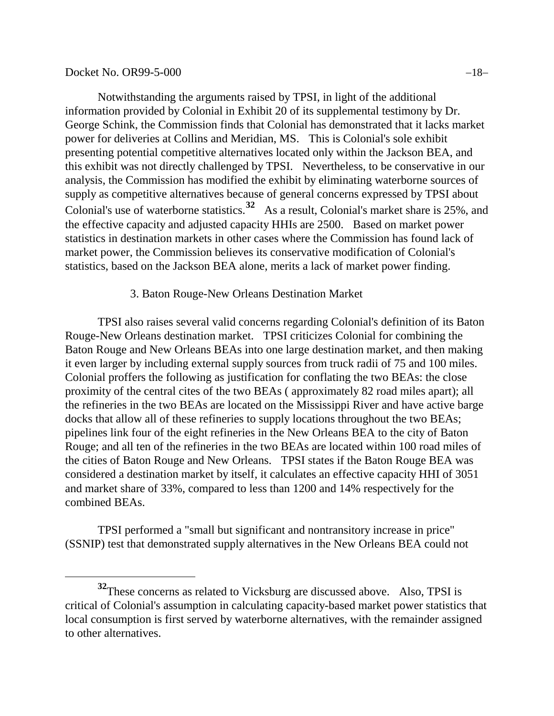#### Docket No. OR99-5-000 −18−

 $\overline{a}$ 

Notwithstanding the arguments raised by TPSI, in light of the additional information provided by Colonial in Exhibit 20 of its supplemental testimony by Dr. George Schink, the Commission finds that Colonial has demonstrated that it lacks market power for deliveries at Collins and Meridian, MS. This is Colonial's sole exhibit presenting potential competitive alternatives located only within the Jackson BEA, and this exhibit was not directly challenged by TPSI. Nevertheless, to be conservative in our analysis, the Commission has modified the exhibit by eliminating waterborne sources of supply as competitive alternatives because of general concerns expressed by TPSI about Colonial's use of waterborne statistics.**[32](#page-18-0)** As a result, Colonial's market share is 25%, and the effective capacity and adjusted capacity HHIs are 2500. Based on market power statistics in destination markets in other cases where the Commission has found lack of market power, the Commission believes its conservative modification of Colonial's statistics, based on the Jackson BEA alone, merits a lack of market power finding.

#### 3. Baton Rouge-New Orleans Destination Market

TPSI also raises several valid concerns regarding Colonial's definition of its Baton Rouge-New Orleans destination market. TPSI criticizes Colonial for combining the Baton Rouge and New Orleans BEAs into one large destination market, and then making it even larger by including external supply sources from truck radii of 75 and 100 miles. Colonial proffers the following as justification for conflating the two BEAs: the close proximity of the central cites of the two BEAs ( approximately 82 road miles apart); all the refineries in the two BEAs are located on the Mississippi River and have active barge docks that allow all of these refineries to supply locations throughout the two BEAs; pipelines link four of the eight refineries in the New Orleans BEA to the city of Baton Rouge; and all ten of the refineries in the two BEAs are located within 100 road miles of the cities of Baton Rouge and New Orleans. TPSI states if the Baton Rouge BEA was considered a destination market by itself, it calculates an effective capacity HHI of 3051 and market share of 33%, compared to less than 1200 and 14% respectively for the combined BEAs.

TPSI performed a "small but significant and nontransitory increase in price" (SSNIP) test that demonstrated supply alternatives in the New Orleans BEA could not

<span id="page-18-0"></span>**<sup>32</sup>**These concerns as related to Vicksburg are discussed above. Also, TPSI is critical of Colonial's assumption in calculating capacity-based market power statistics that local consumption is first served by waterborne alternatives, with the remainder assigned to other alternatives.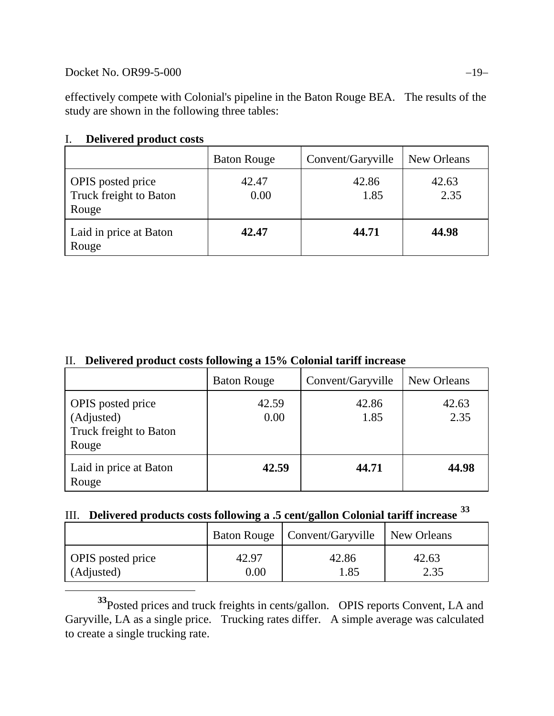Docket No. OR99-5-000 −19−

effectively compete with Colonial's pipeline in the Baton Rouge BEA. The results of the study are shown in the following three tables:

|                                                             | <b>Baton Rouge</b> | Convent/Garyville | New Orleans   |
|-------------------------------------------------------------|--------------------|-------------------|---------------|
| <b>OPIS</b> posted price<br>Truck freight to Baton<br>Rouge | 42.47<br>0.00      | 42.86<br>1.85     | 42.63<br>2.35 |
| Laid in price at Baton<br>Rouge                             | 42.47              | 44.71             | 44.98         |

# I. **Delivered product costs**

 $\overline{a}$ 

# II. **Delivered product costs following a 15% Colonial tariff increase**

|                                                                           | <b>Baton Rouge</b> | Convent/Garyville | New Orleans   |
|---------------------------------------------------------------------------|--------------------|-------------------|---------------|
| <b>OPIS</b> posted price<br>(Adjusted)<br>Truck freight to Baton<br>Rouge | 42.59<br>0.00      | 42.86<br>1.85     | 42.63<br>2.35 |
| Laid in price at Baton<br>Rouge                                           | 42.59              | 44.71             | 44.98         |

# III. **Delivered products costs following a .5 cent/gallon Colonial tariff increase [33](#page-19-0)**

|                   |          | Baton Rouge   Convent/Garyville | New Orleans |
|-------------------|----------|---------------------------------|-------------|
| OPIS posted price | 42.97    | 42.86                           | 42.63       |
| (Adjusted)        | $0.00\,$ | 1.85                            | 2.35        |

<span id="page-19-0"></span>**<sup>33</sup>**Posted prices and truck freights in cents/gallon. OPIS reports Convent, LA and Garyville, LA as a single price. Trucking rates differ. A simple average was calculated to create a single trucking rate.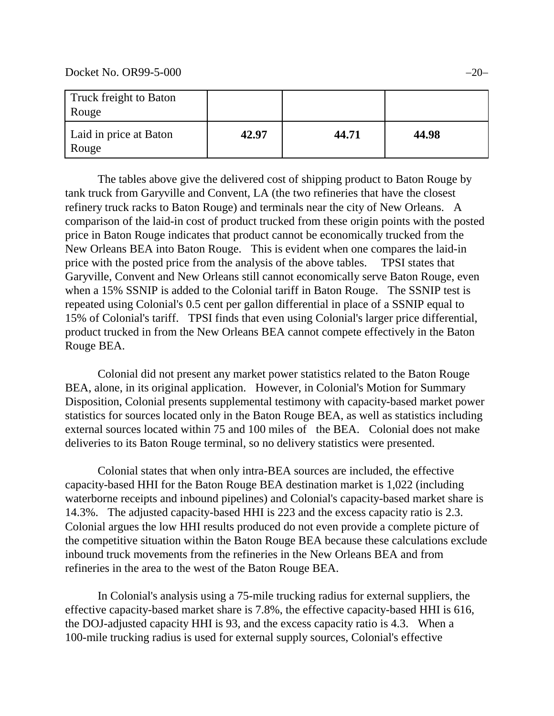| Truck freight to Baton<br>Rouge |       |       |       |
|---------------------------------|-------|-------|-------|
| Laid in price at Baton<br>Rouge | 42.97 | 44.71 | 44.98 |

The tables above give the delivered cost of shipping product to Baton Rouge by tank truck from Garyville and Convent, LA (the two refineries that have the closest refinery truck racks to Baton Rouge) and terminals near the city of New Orleans. A comparison of the laid-in cost of product trucked from these origin points with the posted price in Baton Rouge indicates that product cannot be economically trucked from the New Orleans BEA into Baton Rouge. This is evident when one compares the laid-in price with the posted price from the analysis of the above tables. TPSI states that Garyville, Convent and New Orleans still cannot economically serve Baton Rouge, even when a 15% SSNIP is added to the Colonial tariff in Baton Rouge. The SSNIP test is repeated using Colonial's 0.5 cent per gallon differential in place of a SSNIP equal to 15% of Colonial's tariff. TPSI finds that even using Colonial's larger price differential, product trucked in from the New Orleans BEA cannot compete effectively in the Baton Rouge BEA.

Colonial did not present any market power statistics related to the Baton Rouge BEA, alone, in its original application. However, in Colonial's Motion for Summary Disposition, Colonial presents supplemental testimony with capacity-based market power statistics for sources located only in the Baton Rouge BEA, as well as statistics including external sources located within 75 and 100 miles of the BEA. Colonial does not make deliveries to its Baton Rouge terminal, so no delivery statistics were presented.

Colonial states that when only intra-BEA sources are included, the effective capacity-based HHI for the Baton Rouge BEA destination market is 1,022 (including waterborne receipts and inbound pipelines) and Colonial's capacity-based market share is 14.3%. The adjusted capacity-based HHI is 223 and the excess capacity ratio is 2.3. Colonial argues the low HHI results produced do not even provide a complete picture of the competitive situation within the Baton Rouge BEA because these calculations exclude inbound truck movements from the refineries in the New Orleans BEA and from refineries in the area to the west of the Baton Rouge BEA.

In Colonial's analysis using a 75-mile trucking radius for external suppliers, the effective capacity-based market share is 7.8%, the effective capacity-based HHI is 616, the DOJ-adjusted capacity HHI is 93, and the excess capacity ratio is 4.3. When a 100-mile trucking radius is used for external supply sources, Colonial's effective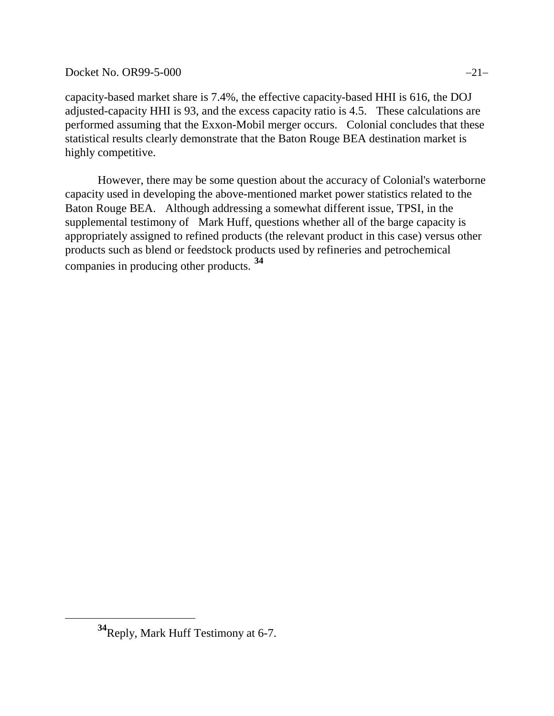## Docket No. OR99-5-000 −21−

capacity-based market share is 7.4%, the effective capacity-based HHI is 616, the DOJ adjusted-capacity HHI is 93, and the excess capacity ratio is 4.5. These calculations are performed assuming that the Exxon-Mobil merger occurs. Colonial concludes that these statistical results clearly demonstrate that the Baton Rouge BEA destination market is highly competitive.

However, there may be some question about the accuracy of Colonial's waterborne capacity used in developing the above-mentioned market power statistics related to the Baton Rouge BEA. Although addressing a somewhat different issue, TPSI, in the supplemental testimony of Mark Huff, questions whether all of the barge capacity is appropriately assigned to refined products (the relevant product in this case) versus other products such as blend or feedstock products used by refineries and petrochemical companies in producing other products. **[34](#page-21-0)**

<span id="page-21-0"></span>**<sup>34</sup>**Reply, Mark Huff Testimony at 6-7.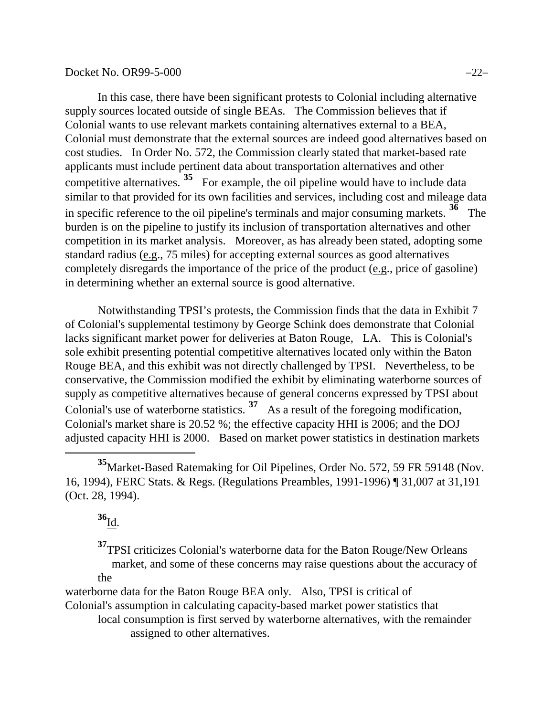#### $Dacket No. OR99-5-000$  −22−

In this case, there have been significant protests to Colonial including alternative supply sources located outside of single BEAs. The Commission believes that if Colonial wants to use relevant markets containing alternatives external to a BEA, Colonial must demonstrate that the external sources are indeed good alternatives based on cost studies. In Order No. 572, the Commission clearly stated that market-based rate applicants must include pertinent data about transportation alternatives and other competitive alternatives.<sup>[35](#page-22-0)</sup> For example, the oil pipeline would have to include data similar to that provided for its own facilities and services, including cost and mileage data in specific reference to the oil pipeline's terminals and major consuming markets. **[36](#page-22-1)** The burden is on the pipeline to justify its inclusion of transportation alternatives and other competition in its market analysis. Moreover, as has already been stated, adopting some standard radius (e.g., 75 miles) for accepting external sources as good alternatives completely disregards the importance of the price of the product (e.g., price of gasoline) in determining whether an external source is good alternative.

Notwithstanding TPSI's protests, the Commission finds that the data in Exhibit 7 of Colonial's supplemental testimony by George Schink does demonstrate that Colonial lacks significant market power for deliveries at Baton Rouge, LA. This is Colonial's sole exhibit presenting potential competitive alternatives located only within the Baton Rouge BEA, and this exhibit was not directly challenged by TPSI. Nevertheless, to be conservative, the Commission modified the exhibit by eliminating waterborne sources of supply as competitive alternatives because of general concerns expressed by TPSI about Colonial's use of waterborne statistics.  $\frac{37}{1}$  $\frac{37}{1}$  $\frac{37}{1}$  As a result of the foregoing modification, Colonial's market share is 20.52 %; the effective capacity HHI is 2006; and the DOJ adjusted capacity HHI is 2000. Based on market power statistics in destination markets

<span id="page-22-1"></span><span id="page-22-0"></span>**<sup>35</sup>**Market-Based Ratemaking for Oil Pipelines, Order No. 572, 59 FR 59148 (Nov. 16, 1994), FERC Stats. & Regs. (Regulations Preambles, 1991-1996) ¶ 31,007 at 31,191 (Oct. 28, 1994).

**<sup>36</sup>**Id.

 $\overline{a}$ 

**<sup>37</sup>**TPSI criticizes Colonial's waterborne data for the Baton Rouge/New Orleans market, and some of these concerns may raise questions about the accuracy of the

<span id="page-22-2"></span>waterborne data for the Baton Rouge BEA only. Also, TPSI is critical of Colonial's assumption in calculating capacity-based market power statistics that local consumption is first served by waterborne alternatives, with the remainder assigned to other alternatives.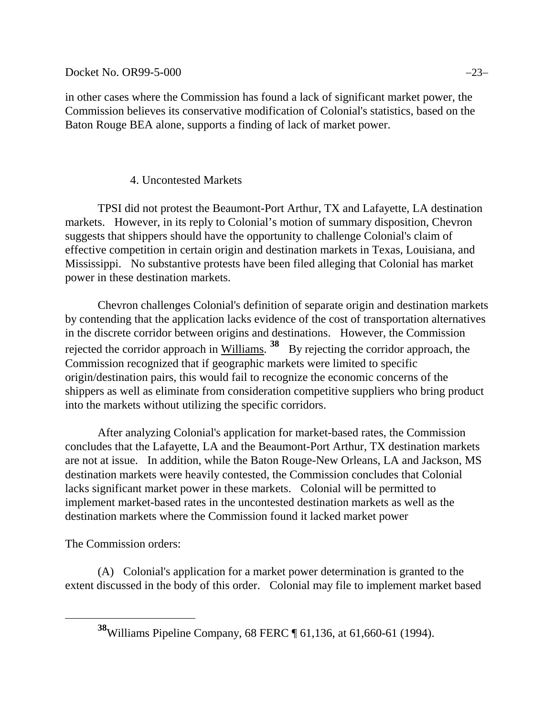Docket No. OR99-5-000 −23−

in other cases where the Commission has found a lack of significant market power, the Commission believes its conservative modification of Colonial's statistics, based on the Baton Rouge BEA alone, supports a finding of lack of market power.

# 4. Uncontested Markets

TPSI did not protest the Beaumont-Port Arthur, TX and Lafayette, LA destination markets. However, in its reply to Colonial's motion of summary disposition, Chevron suggests that shippers should have the opportunity to challenge Colonial's claim of effective competition in certain origin and destination markets in Texas, Louisiana, and Mississippi. No substantive protests have been filed alleging that Colonial has market power in these destination markets.

Chevron challenges Colonial's definition of separate origin and destination markets by contending that the application lacks evidence of the cost of transportation alternatives in the discrete corridor between origins and destinations. However, the Commission rejected the corridor approach in Williams. **[38](#page-23-0)** By rejecting the corridor approach, the Commission recognized that if geographic markets were limited to specific origin/destination pairs, this would fail to recognize the economic concerns of the shippers as well as eliminate from consideration competitive suppliers who bring product into the markets without utilizing the specific corridors.

After analyzing Colonial's application for market-based rates, the Commission concludes that the Lafayette, LA and the Beaumont-Port Arthur, TX destination markets are not at issue. In addition, while the Baton Rouge-New Orleans, LA and Jackson, MS destination markets were heavily contested, the Commission concludes that Colonial lacks significant market power in these markets. Colonial will be permitted to implement market-based rates in the uncontested destination markets as well as the destination markets where the Commission found it lacked market power

The Commission orders:

<span id="page-23-0"></span> $\overline{a}$ 

(A) Colonial's application for a market power determination is granted to the extent discussed in the body of this order. Colonial may file to implement market based

**<sup>38</sup>**Williams Pipeline Company, 68 FERC ¶ 61,136, at 61,660-61 (1994).